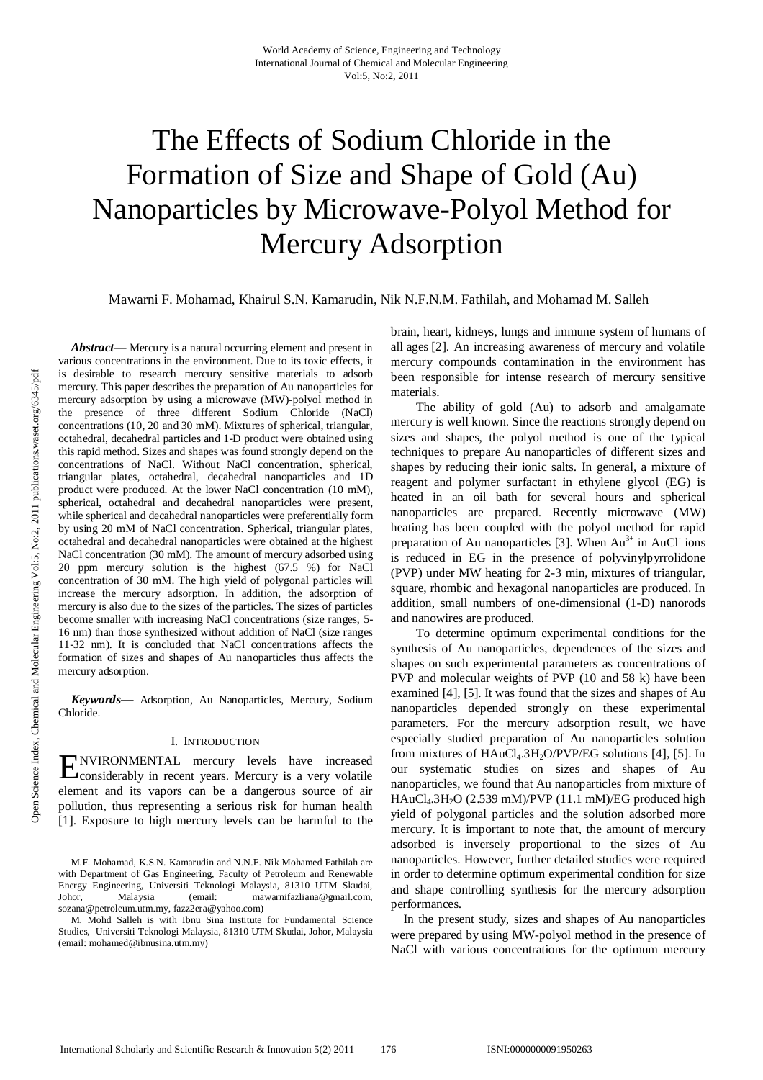# The Effects of Sodium Chloride in the Formation of Size and Shape of Gold (Au) Nanoparticles by Microwave-Polyol Method for Mercury Adsorption

Mawarni F. Mohamad, Khairul S.N. Kamarudin, Nik N.F.N.M. Fathilah, and Mohamad M. Salleh

*Abstract***—** Mercury is a natural occurring element and present in various concentrations in the environment. Due to its toxic effects, it is desirable to research mercury sensitive materials to adsorb mercury. This paper describes the preparation of Au nanoparticles for mercury adsorption by using a microwave (MW)-polyol method in the presence of three different Sodium Chloride (NaCl) concentrations (10, 20 and 30 mM). Mixtures of spherical, triangular, octahedral, decahedral particles and 1-D product were obtained using this rapid method. Sizes and shapes was found strongly depend on the concentrations of NaCl. Without NaCl concentration, spherical, triangular plates, octahedral, decahedral nanoparticles and 1D product were produced. At the lower NaCl concentration (10 mM), spherical, octahedral and decahedral nanoparticles were present, while spherical and decahedral nanoparticles were preferentially form by using 20 mM of NaCl concentration. Spherical, triangular plates, octahedral and decahedral nanoparticles were obtained at the highest NaCl concentration (30 mM). The amount of mercury adsorbed using 20 ppm mercury solution is the highest (67.5 %) for NaCl concentration of 30 mM. The high yield of polygonal particles will increase the mercury adsorption. In addition, the adsorption of mercury is also due to the sizes of the particles. The sizes of particles become smaller with increasing NaCl concentrations (size ranges, 5- 16 nm) than those synthesized without addition of NaCl (size ranges 11-32 nm). It is concluded that NaCl concentrations affects the formation of sizes and shapes of Au nanoparticles thus affects the mercury adsorption.

*Keywords***—** Adsorption, Au Nanoparticles, Mercury, Sodium Chloride.

### I. INTRODUCTION

NVIRONMENTAL mercury levels have increased ENVIRONMENTAL mercury levels have increased considerably in recent years. Mercury is a very volatile element and its vapors can be a dangerous source of air pollution, thus representing a serious risk for human health [1]. Exposure to high mercury levels can be harmful to the

brain, heart, kidneys, lungs and immune system of humans of all ages [2]. An increasing awareness of mercury and volatile mercury compounds contamination in the environment has been responsible for intense research of mercury sensitive materials.

The ability of gold (Au) to adsorb and amalgamate mercury is well known. Since the reactions strongly depend on sizes and shapes, the polyol method is one of the typical techniques to prepare Au nanoparticles of different sizes and shapes by reducing their ionic salts. In general, a mixture of reagent and polymer surfactant in ethylene glycol (EG) is heated in an oil bath for several hours and spherical nanoparticles are prepared. Recently microwave (MW) heating has been coupled with the polyol method for rapid preparation of Au nanoparticles [3]. When  $Au^{3+}$  in AuCl<sup>-</sup> ions is reduced in EG in the presence of polyvinylpyrrolidone (PVP) under MW heating for 2-3 min, mixtures of triangular, square, rhombic and hexagonal nanoparticles are produced. In addition, small numbers of one-dimensional (1-D) nanorods and nanowires are produced.

To determine optimum experimental conditions for the synthesis of Au nanoparticles, dependences of the sizes and shapes on such experimental parameters as concentrations of PVP and molecular weights of PVP (10 and 58 k) have been examined [4], [5]. It was found that the sizes and shapes of Au nanoparticles depended strongly on these experimental parameters. For the mercury adsorption result, we have especially studied preparation of Au nanoparticles solution from mixtures of  $HAuCl<sub>4</sub>.3H<sub>2</sub>O/PVP/EG$  solutions [4], [5]. In our systematic studies on sizes and shapes of Au nanoparticles, we found that Au nanoparticles from mixture of  $HAuCl<sub>4</sub>.3H<sub>2</sub>O$  (2.539 mM)/PVP (11.1 mM)/EG produced high yield of polygonal particles and the solution adsorbed more mercury. It is important to note that, the amount of mercury adsorbed is inversely proportional to the sizes of Au nanoparticles. However, further detailed studies were required in order to determine optimum experimental condition for size and shape controlling synthesis for the mercury adsorption performances.

In the present study, sizes and shapes of Au nanoparticles were prepared by using MW-polyol method in the presence of NaCl with various concentrations for the optimum mercury

M.F. Mohamad, K.S.N. Kamarudin and N.N.F. Nik Mohamed Fathilah are with Department of Gas Engineering, Faculty of Petroleum and Renewable Energy Engineering, Universiti Teknologi Malaysia, 81310 UTM Skudai, Johor, Malaysia (email: mawarnifazliana@gmail.com, sozana@petroleum.utm.my, fazz2era@yahoo.com)

M. Mohd Salleh is with Ibnu Sina Institute for Fundamental Science Studies, Universiti Teknologi Malaysia, 81310 UTM Skudai, Johor, Malaysia (email: mohamed@ibnusina.utm.my)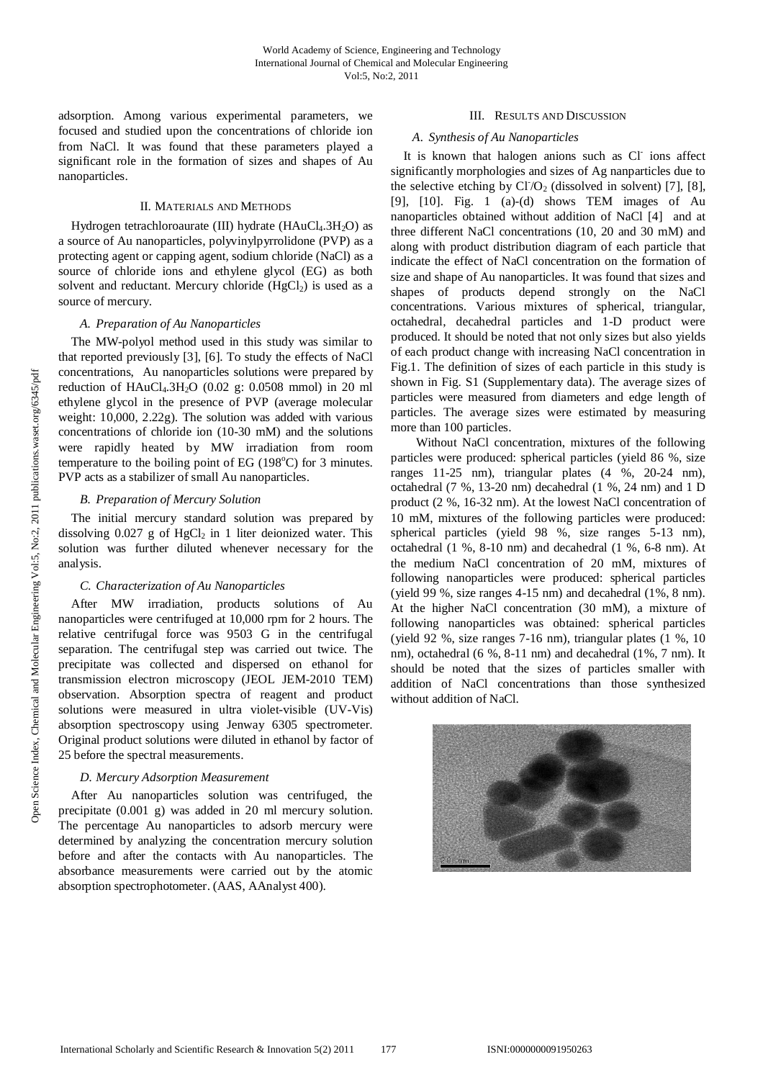adsorption. Among various experimental parameters, we focused and studied upon the concentrations of chloride ion from NaCl. It was found that these parameters played a significant role in the formation of sizes and shapes of Au nanoparticles.

### II. MATERIALS AND METHODS

Hydrogen tetrachloroaurate (III) hydrate (HAuCl<sub>4</sub>.3H<sub>2</sub>O) as a source of Au nanoparticles, polyvinylpyrrolidone (PVP) as a protecting agent or capping agent, sodium chloride (NaCl) as a source of chloride ions and ethylene glycol (EG) as both solvent and reductant. Mercury chloride  $(HgCl<sub>2</sub>)$  is used as a source of mercury.

#### *A. Preparation of Au Nanoparticles*

The MW-polyol method used in this study was similar to that reported previously [3], [6]. To study the effects of NaCl concentrations, Au nanoparticles solutions were prepared by reduction of  $HAuCl<sub>4</sub>.3H<sub>2</sub>O$  (0.02 g: 0.0508 mmol) in 20 ml ethylene glycol in the presence of PVP (average molecular weight: 10,000, 2.22g). The solution was added with various concentrations of chloride ion (10-30 mM) and the solutions were rapidly heated by MW irradiation from room temperature to the boiling point of EG (198 $^{\circ}$ C) for 3 minutes. PVP acts as a stabilizer of small Au nanoparticles.

### *B. Preparation of Mercury Solution*

The initial mercury standard solution was prepared by dissolving  $0.027$  g of HgCl<sub>2</sub> in 1 liter deionized water. This solution was further diluted whenever necessary for the analysis.

#### *C. Characterization of Au Nanoparticles*

After MW irradiation, products solutions of Au nanoparticles were centrifuged at 10,000 rpm for 2 hours. The relative centrifugal force was 9503 G in the centrifugal separation. The centrifugal step was carried out twice. The precipitate was collected and dispersed on ethanol for transmission electron microscopy (JEOL JEM-2010 TEM) observation. Absorption spectra of reagent and product solutions were measured in ultra violet-visible (UV-Vis) absorption spectroscopy using Jenway 6305 spectrometer. Original product solutions were diluted in ethanol by factor of 25 before the spectral measurements.

## *D. Mercury Adsorption Measurement*

After Au nanoparticles solution was centrifuged, the precipitate (0.001 g) was added in 20 ml mercury solution. The percentage Au nanoparticles to adsorb mercury were determined by analyzing the concentration mercury solution before and after the contacts with Au nanoparticles. The absorbance measurements were carried out by the atomic absorption spectrophotometer. (AAS, AAnalyst 400).

## III. RESULTS AND DISCUSSION

#### *A. Synthesis of Au Nanoparticles*

It is known that halogen anions such as Cl ions affect significantly morphologies and sizes of Ag nanparticles due to the selective etching by  $CI/O_2$  (dissolved in solvent) [7], [8], [9], [10]. Fig. 1 (a)-(d) shows TEM images of Au nanoparticles obtained without addition of NaCl [4] and at three different NaCl concentrations (10, 20 and 30 mM) and along with product distribution diagram of each particle that indicate the effect of NaCl concentration on the formation of size and shape of Au nanoparticles. It was found that sizes and shapes of products depend strongly on the NaCl concentrations. Various mixtures of spherical, triangular, octahedral, decahedral particles and 1-D product were produced. It should be noted that not only sizes but also yields of each product change with increasing NaCl concentration in Fig.1. The definition of sizes of each particle in this study is shown in Fig. S1 (Supplementary data). The average sizes of particles were measured from diameters and edge length of particles. The average sizes were estimated by measuring more than 100 particles.

Without NaCl concentration, mixtures of the following particles were produced: spherical particles (yield 86 %, size ranges 11-25 nm), triangular plates (4 %, 20-24 nm), octahedral (7 %, 13-20 nm) decahedral (1 %, 24 nm) and 1 D product (2 %, 16-32 nm). At the lowest NaCl concentration of 10 mM, mixtures of the following particles were produced: spherical particles (yield 98 %, size ranges 5-13 nm), octahedral (1 %, 8-10 nm) and decahedral (1 %, 6-8 nm). At the medium NaCl concentration of 20 mM, mixtures of following nanoparticles were produced: spherical particles (yield 99 %, size ranges 4-15 nm) and decahedral (1%, 8 nm). At the higher NaCl concentration (30 mM), a mixture of following nanoparticles was obtained: spherical particles (yield 92 %, size ranges 7-16 nm), triangular plates (1 %, 10 nm), octahedral (6 %, 8-11 nm) and decahedral (1%, 7 nm). It should be noted that the sizes of particles smaller with addition of NaCl concentrations than those synthesized without addition of NaCl.

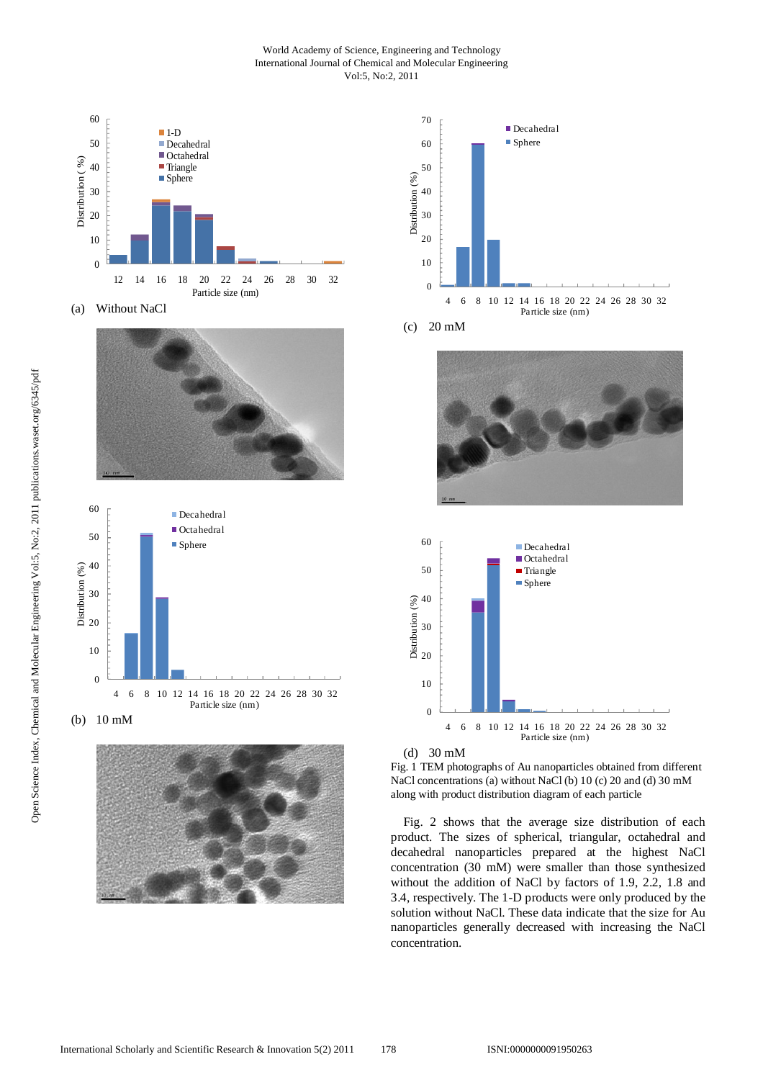### World Academy of Science, Engineering and Technology International Journal of Chemical and Molecular Engineering Vol:5, No:2, 2011



(a) Without NaCl



















Fig. 1 TEM photographs of Au nanoparticles obtained from different NaCl concentrations (a) without NaCl (b) 10 (c) 20 and (d) 30 mM along with product distribution diagram of each particle

Fig. 2 shows that the average size distribution of each product. The sizes of spherical, triangular, octahedral and decahedral nanoparticles prepared at the highest NaCl concentration (30 mM) were smaller than those synthesized without the addition of NaCl by factors of 1.9, 2.2, 1.8 and 3.4, respectively. The 1-D products were only produced by the solution without NaCl. These data indicate that the size for Au nanoparticles generally decreased with increasing the NaCl concentration.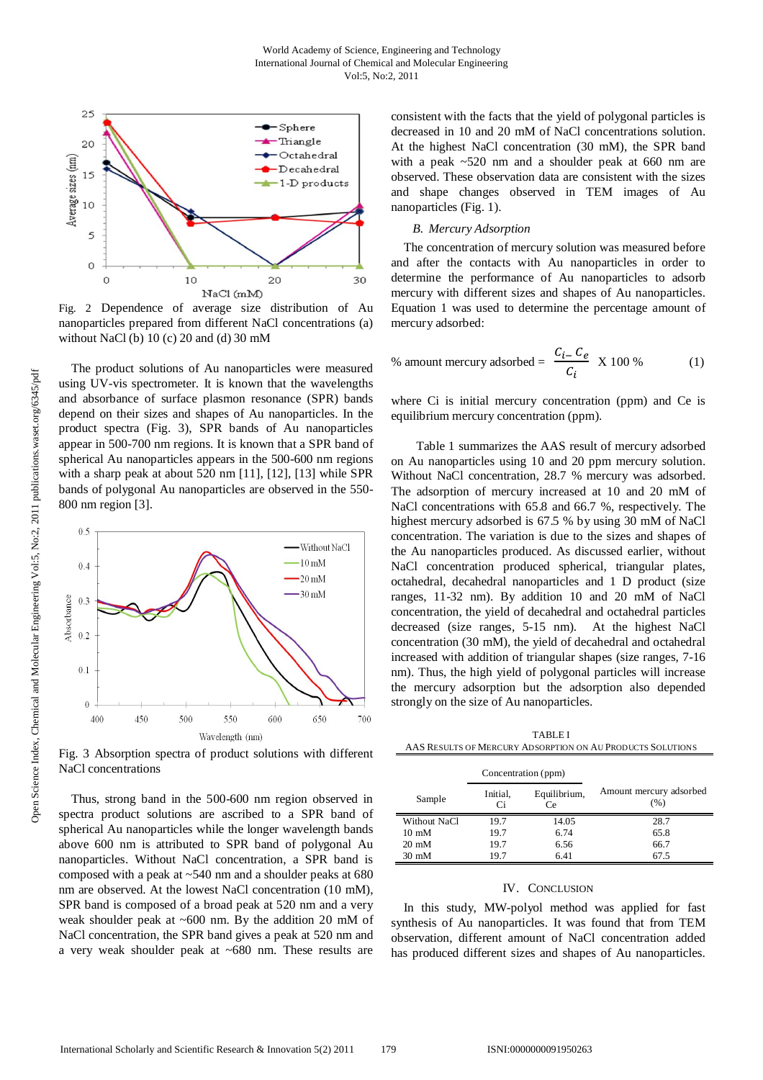

Fig. 2 Dependence of average size distribution of Au nanoparticles prepared from different NaCl concentrations (a) without NaCl (b) 10 (c) 20 and (d) 30 mM

The product solutions of Au nanoparticles were measured using UV-vis spectrometer. It is known that the wavelengths and absorbance of surface plasmon resonance (SPR) bands depend on their sizes and shapes of Au nanoparticles. In the product spectra (Fig. 3), SPR bands of Au nanoparticles appear in 500-700 nm regions. It is known that a SPR band of spherical Au nanoparticles appears in the 500-600 nm regions with a sharp peak at about 520 nm [11], [12], [13] while SPR bands of polygonal Au nanoparticles are observed in the 550- 800 nm region [3].



Fig. 3 Absorption spectra of product solutions with different NaCl concentrations

Thus, strong band in the 500-600 nm region observed in spectra product solutions are ascribed to a SPR band of spherical Au nanoparticles while the longer wavelength bands above 600 nm is attributed to SPR band of polygonal Au nanoparticles. Without NaCl concentration, a SPR band is composed with a peak at ~540 nm and a shoulder peaks at 680 nm are observed. At the lowest NaCl concentration (10 mM), SPR band is composed of a broad peak at 520 nm and a very weak shoulder peak at ~600 nm. By the addition 20 mM of NaCl concentration, the SPR band gives a peak at 520 nm and a very weak shoulder peak at ~680 nm. These results are

consistent with the facts that the yield of polygonal particles is decreased in 10 and 20 mM of NaCl concentrations solution. At the highest NaCl concentration (30 mM), the SPR band with a peak ~520 nm and a shoulder peak at 660 nm are observed. These observation data are consistent with the sizes and shape changes observed in TEM images of Au nanoparticles (Fig. 1).

#### *B. Mercury Adsorption*

The concentration of mercury solution was measured before and after the contacts with Au nanoparticles in order to determine the performance of Au nanoparticles to adsorb mercury with different sizes and shapes of Au nanoparticles. Equation 1 was used to determine the percentage amount of mercury adsorbed:

% amount mercury adsorbed = 
$$
\frac{C_{i-} C_e}{C_i} \times 100\% \tag{1}
$$

where Ci is initial mercury concentration (ppm) and Ce is equilibrium mercury concentration (ppm).

Table 1 summarizes the AAS result of mercury adsorbed on Au nanoparticles using 10 and 20 ppm mercury solution. Without NaCl concentration, 28.7 % mercury was adsorbed. The adsorption of mercury increased at 10 and 20 mM of NaCl concentrations with 65.8 and 66.7 %, respectively. The highest mercury adsorbed is 67.5 % by using 30 mM of NaCl concentration. The variation is due to the sizes and shapes of the Au nanoparticles produced. As discussed earlier, without NaCl concentration produced spherical, triangular plates, octahedral, decahedral nanoparticles and 1 D product (size ranges, 11-32 nm). By addition 10 and 20 mM of NaCl concentration, the yield of decahedral and octahedral particles decreased (size ranges, 5-15 nm). At the highest NaCl concentration (30 mM), the yield of decahedral and octahedral increased with addition of triangular shapes (size ranges, 7-16 nm). Thus, the high yield of polygonal particles will increase the mercury adsorption but the adsorption also depended strongly on the size of Au nanoparticles.

TABLE I AAS RESULTS OF MERCURY ADSORPTION ON AU PRODUCTS SOLUTIONS

|                 | Concentration (ppm) |                    |                                |
|-----------------|---------------------|--------------------|--------------------------------|
| Sample          | Initial,<br>Ci      | Equilibrium,<br>Ce | Amount mercury adsorbed<br>(%) |
| Without NaCl    | 19.7                | 14.05              | 28.7                           |
| $10 \text{ mM}$ | 19.7                | 6.74               | 65.8                           |
| $20 \text{ mM}$ | 19.7                | 6.56               | 66.7                           |
| $30 \text{ mM}$ | 19.7                | 6.41               | 67.5                           |

#### IV. CONCLUSION

j.

In this study, MW-polyol method was applied for fast synthesis of Au nanoparticles. It was found that from TEM observation, different amount of NaCl concentration added has produced different sizes and shapes of Au nanoparticles.